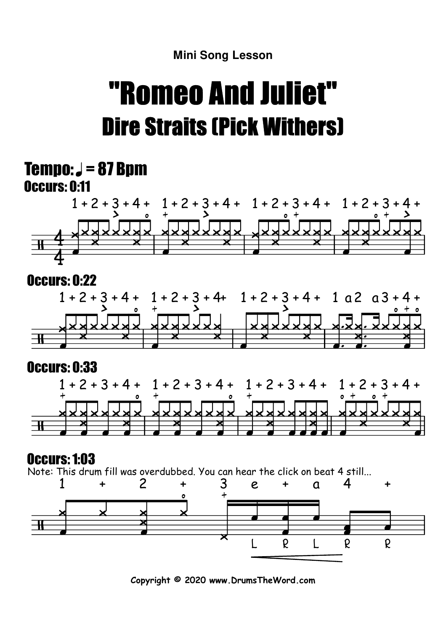# "Romeo And Juliet"Dire Straits (Pick Withers)

### Occurs: 0:11  $Tempo: J = 87 Bpm$



#### Occurs: 0:22



### Occurs: 0:33



### Occurs: 1:03

Note: This drum fill was overdubbed. You can hear the click on beat 4 still...



**Copyright © 2020 www.DrumsTheWord.com**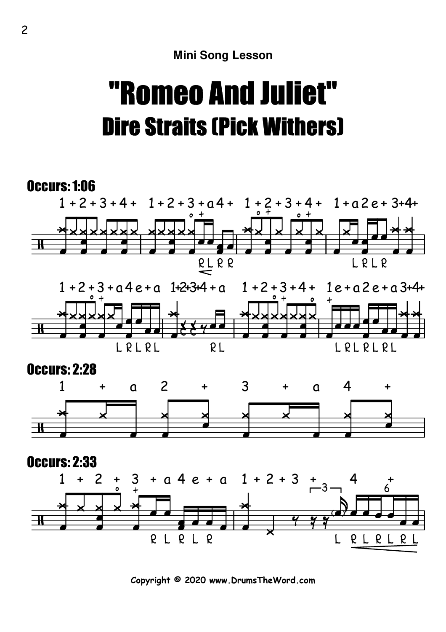# "Romeo And Juliet"Dire Straits (Pick Withers)



**Copyright © 2020 www.DrumsTheWord.com**